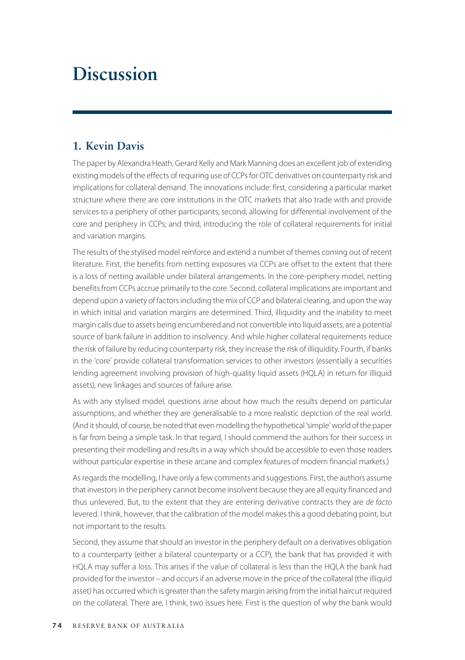## **Discussion**

## **1. Kevin Davis**

The paper by Alexandra Heath, Gerard Kelly and Mark Manning does an excellent job of extending existing models of the effects of requiring use of CCPs for OTC derivatives on counterparty risk and implications for collateral demand. The innovations include: first, considering a particular market structure where there are core institutions in the OTC markets that also trade with and provide services to a periphery of other participants; second, allowing for differential involvement of the core and periphery in CCPs; and third, introducing the role of collateral requirements for initial and variation margins.

The results of the stylised model reinforce and extend a number of themes coming out of recent literature. First, the benefits from netting exposures via CCPs are offset to the extent that there is a loss of netting available under bilateral arrangements. In the core-periphery model, netting benefits from CCPs accrue primarily to the core. Second, collateral implications are important and depend upon a variety of factors including the mix of CCP and bilateral clearing, and upon the way in which initial and variation margins are determined. Third, illiquidity and the inability to meet margin calls due to assets being encumbered and not convertible into liquid assets, are a potential source of bank failure in addition to insolvency. And while higher collateral requirements reduce the risk of failure by reducing counterparty risk, they increase the risk of illiquidity. Fourth, if banks in the 'core' provide collateral transformation services to other investors (essentially a securities lending agreement involving provision of high-quality liquid assets (HQLA) in return for illiquid assets), new linkages and sources of failure arise.

As with any stylised model, questions arise about how much the results depend on particular assumptions, and whether they are generalisable to a more realistic depiction of the real world. (And it should, of course, be noted that even modelling the hypothetical 'simple' world of the paper is far from being a simple task. In that regard, I should commend the authors for their success in presenting their modelling and results in a way which should be accessible to even those readers without particular expertise in these arcane and complex features of modern financial markets.)

As regards the modelling, I have only a few comments and suggestions. First, the authors assume that investors in the periphery cannot become insolvent because they are all equity financed and thus unlevered. But, to the extent that they are entering derivative contracts they are *de facto* levered. I think, however, that the calibration of the model makes this a good debating point, but not important to the results.

Second, they assume that should an investor in the periphery default on a derivatives obligation to a counterparty (either a bilateral counterparty or a CCP), the bank that has provided it with HQLA may suffer a loss. This arises if the value of collateral is less than the HQLA the bank had provided for the investor – and occurs if an adverse move in the price of the collateral (the illiquid asset) has occurred which is greater than the safety margin arising from the initial haircut required on the collateral. There are, I think, two issues here. First is the question of why the bank would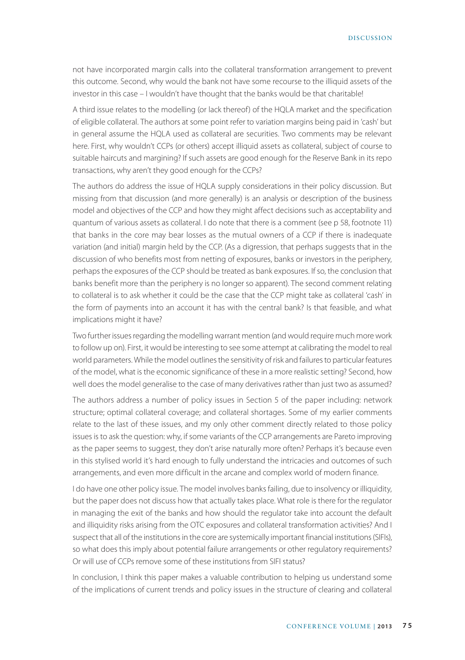not have incorporated margin calls into the collateral transformation arrangement to prevent this outcome. Second, why would the bank not have some recourse to the illiquid assets of the investor in this case – I wouldn't have thought that the banks would be that charitable!

A third issue relates to the modelling (or lack thereof) of the HQLA market and the specification of eligible collateral. The authors at some point refer to variation margins being paid in 'cash' but in general assume the HQLA used as collateral are securities. Two comments may be relevant here. First, why wouldn't CCPs (or others) accept illiquid assets as collateral, subject of course to suitable haircuts and margining? If such assets are good enough for the Reserve Bank in its repo transactions, why aren't they good enough for the CCPs?

The authors do address the issue of HQLA supply considerations in their policy discussion. But missing from that discussion (and more generally) is an analysis or description of the business model and objectives of the CCP and how they might affect decisions such as acceptability and quantum of various assets as collateral. I do note that there is a comment (see p 58, footnote 11) that banks in the core may bear losses as the mutual owners of a CCP if there is inadequate variation (and initial) margin held by the CCP. (As a digression, that perhaps suggests that in the discussion of who benefits most from netting of exposures, banks or investors in the periphery, perhaps the exposures of the CCP should be treated as bank exposures. If so, the conclusion that banks benefit more than the periphery is no longer so apparent). The second comment relating to collateral is to ask whether it could be the case that the CCP might take as collateral 'cash' in the form of payments into an account it has with the central bank? Is that feasible, and what implications might it have?

Two further issues regarding the modelling warrant mention (and would require much more work to follow up on). First, it would be interesting to see some attempt at calibrating the model to real world parameters. While the model outlines the sensitivity of risk and failures to particular features of the model, what is the economic significance of these in a more realistic setting? Second, how well does the model generalise to the case of many derivatives rather than just two as assumed?

The authors address a number of policy issues in Section 5 of the paper including: network structure; optimal collateral coverage; and collateral shortages. Some of my earlier comments relate to the last of these issues, and my only other comment directly related to those policy issues is to ask the question: why, if some variants of the CCP arrangements are Pareto improving as the paper seems to suggest, they don't arise naturally more often? Perhaps it's because even in this stylised world it's hard enough to fully understand the intricacies and outcomes of such arrangements, and even more difficult in the arcane and complex world of modern finance.

I do have one other policy issue. The model involves banks failing, due to insolvency or illiquidity, but the paper does not discuss how that actually takes place. What role is there for the regulator in managing the exit of the banks and how should the regulator take into account the default and illiquidity risks arising from the OTC exposures and collateral transformation activities? And I suspect that all of the institutions in the core are systemically important financial institutions (SIFIs), so what does this imply about potential failure arrangements or other regulatory requirements? Or will use of CCPs remove some of these institutions from SIFI status?

In conclusion, I think this paper makes a valuable contribution to helping us understand some of the implications of current trends and policy issues in the structure of clearing and collateral